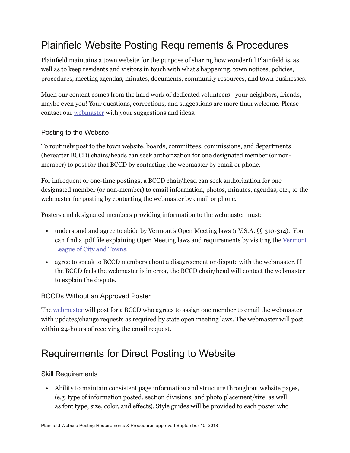# Plainfield Website Posting Requirements & Procedures

Plainfield maintains a town website for the purpose of sharing how wonderful Plainfield is, as well as to keep residents and visitors in touch with what's happening, town notices, policies, procedures, meeting agendas, minutes, documents, community resources, and town businesses.

Much our content comes from the hard work of dedicated volunteers—your neighbors, friends, maybe even you! Your questions, corrections, and suggestions are more than welcome. Please contact our webmaster with your suggestions and ideas.

### Posting to the Website

To routinely post to the town website, boards, committees, commissions, and departments (hereafter BCCD) chairs/heads can seek authorization for one designated member (or nonmember) to post for that BCCD by contacting the webmaster by email or phone.

For infrequent or one-time postings, a BCCD chair/head can seek authorization for one designated member (or non-member) to email information, photos, minutes, agendas, etc., to the webmaster for posting by contacting the webmaster by email or phone.

Posters and designated members providing information to the webmaster must:

- understand and agree to abide by Vermont's Open Meeting laws (1 V.S.A. §§ 310-314). You can find a .pdf file explaining Open Meeting laws and requirements by visiting the Vermont League of City and Towns.
- agree to speak to BCCD members about a disagreement or dispute with the webmaster. If the BCCD feels the webmaster is in error, the BCCD chair/head will contact the webmaster to explain the dispute.

## BCCDs Without an Approved Poster

The webmaster will post for a BCCD who agrees to assign one member to email the webmaster with updates/change requests as required by state open meeting laws. The webmaster will post within 24-hours of receiving the email request.

## Requirements for Direct Posting to Website

#### Skill Requirements

• Ability to maintain consistent page information and structure throughout website pages, (e.g. type of information posted, section divisions, and photo placement/size, as well as font type, size, color, and effects). Style guides will be provided to each poster who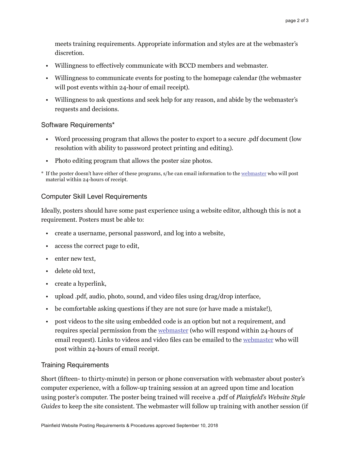meets training requirements. Appropriate information and styles are at the webmaster's discretion.

- Willingness to effectively communicate with BCCD members and webmaster.
- Willingness to communicate events for posting to the homepage calendar (the webmaster will post events within 24-hour of email receipt).
- Willingness to ask questions and seek help for any reason, and abide by the webmaster's requests and decisions.

#### Software Requirements\*

- Word processing program that allows the poster to export to a secure .pdf document (low resolution with ability to password protect printing and editing).
- Photo editing program that allows the poster size photos.
- \* If the poster doesn't have either of these programs, s/he can email information to the webmaster who will post material within 24-hours of receipt.

#### Computer Skill Level Requirements

Ideally, posters should have some past experience using a website editor, although this is not a requirement. Posters must be able to:

- create a username, personal password, and log into a website,
- access the correct page to edit,
- enter new text,
- delete old text,
- create a hyperlink,
- upload .pdf, audio, photo, sound, and video files using drag/drop interface,
- be comfortable asking questions if they are not sure (or have made a mistake!),
- post videos to the site using embedded code is an option but not a requirement, and requires special permission from the webmaster (who will respond within 24-hours of email request). Links to videos and video files can be emailed to the webmaster who will post within 24-hours of email receipt.

#### Training Requirements

Short (fifteen- to thirty-minute) in person or phone conversation with webmaster about poster's computer experience, with a follow-up training session at an agreed upon time and location using poster's computer. The poster being trained will receive a .pdf of *Plainfield's Website Style Guides* to keep the site consistent. The webmaster will follow up training with another session (if